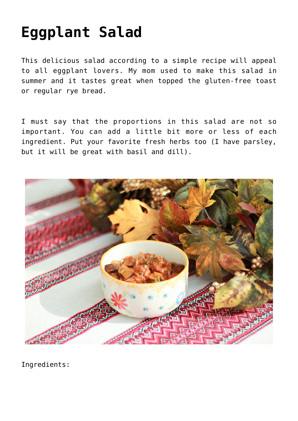## **[Eggplant Salad](https://sproutshealth.com/eggplant-salad/)**

This delicious salad according to a simple recipe will appeal to all eggplant lovers. My mom used to make this salad in summer and it tastes great when topped the gluten-free toast or regular rye bread.

I must say that the proportions in this salad are not so important. You can add a little bit more or less of each ingredient. Put your favorite fresh herbs too (I have parsley, but it will be great with basil and dill).



Ingredients: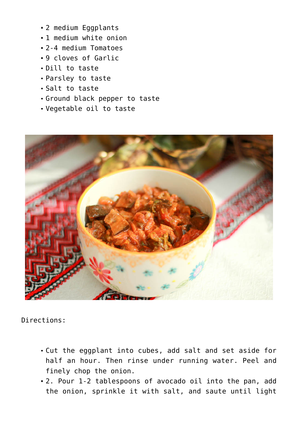- 2 medium Eggplants
- 1 medium white onion
- 2-4 medium Tomatoes
- 9 cloves of Garlic
- Dill to taste
- Parsley to taste
- Salt to taste
- Ground black pepper to taste
- Vegetable oil to taste



Directions:

- Cut the eggplant into cubes, add salt and set aside for half an hour. Then rinse under running water. Peel and finely chop the onion.
- 2. Pour 1-2 tablespoons of avocado oil into the pan, add the onion, sprinkle it with salt, and saute until light